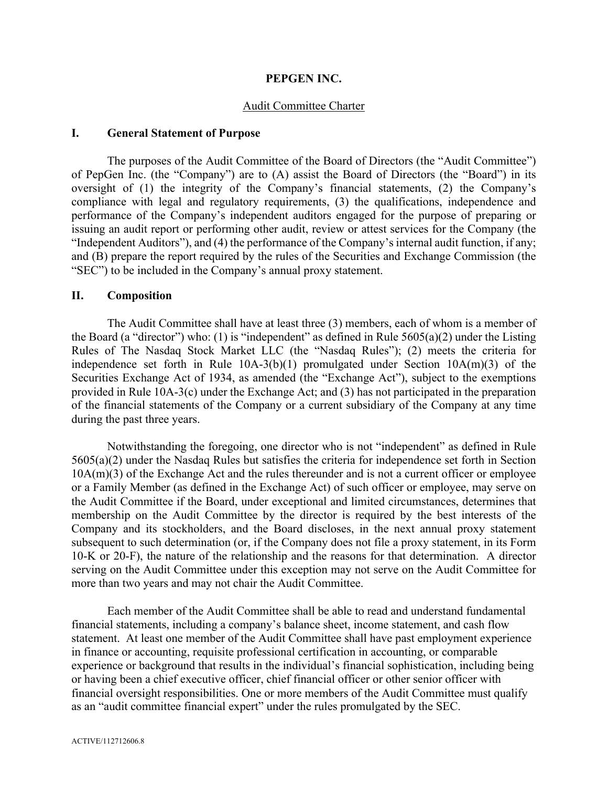### **PEPGEN INC.**

#### Audit Committee Charter

### **I. General Statement of Purpose**

The purposes of the Audit Committee of the Board of Directors (the "Audit Committee") of PepGen Inc. (the "Company") are to (A) assist the Board of Directors (the "Board") in its oversight of (1) the integrity of the Company's financial statements, (2) the Company's compliance with legal and regulatory requirements, (3) the qualifications, independence and performance of the Company's independent auditors engaged for the purpose of preparing or issuing an audit report or performing other audit, review or attest services for the Company (the "Independent Auditors"), and (4) the performance of the Company's internal audit function, if any; and (B) prepare the report required by the rules of the Securities and Exchange Commission (the "SEC") to be included in the Company's annual proxy statement.

### **II. Composition**

The Audit Committee shall have at least three (3) members, each of whom is a member of the Board (a "director") who: (1) is "independent" as defined in Rule  $5605(a)(2)$  under the Listing Rules of The Nasdaq Stock Market LLC (the "Nasdaq Rules"); (2) meets the criteria for independence set forth in Rule 10A-3(b)(1) promulgated under Section 10A(m)(3) of the Securities Exchange Act of 1934, as amended (the "Exchange Act"), subject to the exemptions provided in Rule 10A-3(c) under the Exchange Act; and (3) has not participated in the preparation of the financial statements of the Company or a current subsidiary of the Company at any time during the past three years.

Notwithstanding the foregoing, one director who is not "independent" as defined in Rule 5605(a)(2) under the Nasdaq Rules but satisfies the criteria for independence set forth in Section 10A(m)(3) of the Exchange Act and the rules thereunder and is not a current officer or employee or a Family Member (as defined in the Exchange Act) of such officer or employee, may serve on the Audit Committee if the Board, under exceptional and limited circumstances, determines that membership on the Audit Committee by the director is required by the best interests of the Company and its stockholders, and the Board discloses, in the next annual proxy statement subsequent to such determination (or, if the Company does not file a proxy statement, in its Form 10-K or 20-F), the nature of the relationship and the reasons for that determination. A director serving on the Audit Committee under this exception may not serve on the Audit Committee for more than two years and may not chair the Audit Committee.

Each member of the Audit Committee shall be able to read and understand fundamental financial statements, including a company's balance sheet, income statement, and cash flow statement. At least one member of the Audit Committee shall have past employment experience in finance or accounting, requisite professional certification in accounting, or comparable experience or background that results in the individual's financial sophistication, including being or having been a chief executive officer, chief financial officer or other senior officer with financial oversight responsibilities. One or more members of the Audit Committee must qualify as an "audit committee financial expert" under the rules promulgated by the SEC.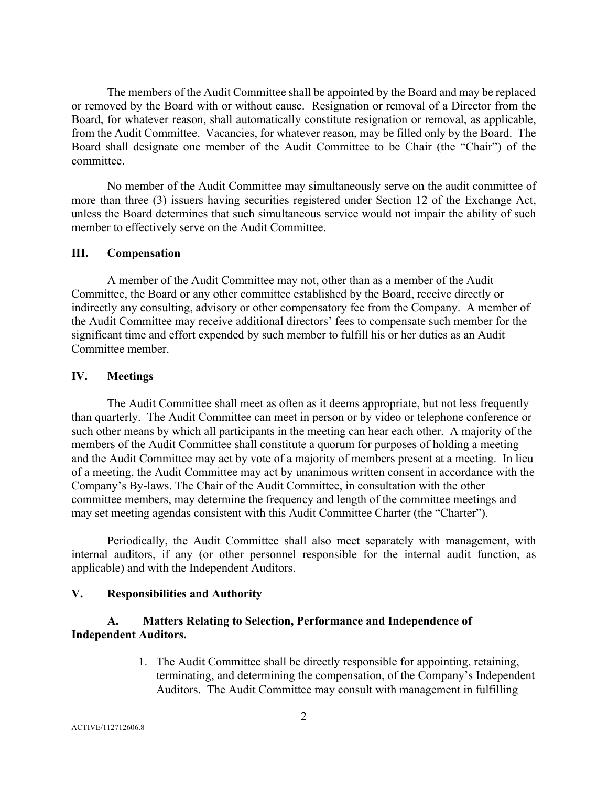The members of the Audit Committee shall be appointed by the Board and may be replaced or removed by the Board with or without cause. Resignation or removal of a Director from the Board, for whatever reason, shall automatically constitute resignation or removal, as applicable, from the Audit Committee. Vacancies, for whatever reason, may be filled only by the Board. The Board shall designate one member of the Audit Committee to be Chair (the "Chair") of the committee.

No member of the Audit Committee may simultaneously serve on the audit committee of more than three (3) issuers having securities registered under Section 12 of the Exchange Act, unless the Board determines that such simultaneous service would not impair the ability of such member to effectively serve on the Audit Committee.

#### **III. Compensation**

A member of the Audit Committee may not, other than as a member of the Audit Committee, the Board or any other committee established by the Board, receive directly or indirectly any consulting, advisory or other compensatory fee from the Company. A member of the Audit Committee may receive additional directors' fees to compensate such member for the significant time and effort expended by such member to fulfill his or her duties as an Audit Committee member.

## **IV. Meetings**

The Audit Committee shall meet as often as it deems appropriate, but not less frequently than quarterly. The Audit Committee can meet in person or by video or telephone conference or such other means by which all participants in the meeting can hear each other. A majority of the members of the Audit Committee shall constitute a quorum for purposes of holding a meeting and the Audit Committee may act by vote of a majority of members present at a meeting. In lieu of a meeting, the Audit Committee may act by unanimous written consent in accordance with the Company's By-laws. The Chair of the Audit Committee, in consultation with the other committee members, may determine the frequency and length of the committee meetings and may set meeting agendas consistent with this Audit Committee Charter (the "Charter").

Periodically, the Audit Committee shall also meet separately with management, with internal auditors, if any (or other personnel responsible for the internal audit function, as applicable) and with the Independent Auditors.

#### **V. Responsibilities and Authority**

### **A. Matters Relating to Selection, Performance and Independence of Independent Auditors.**

1. The Audit Committee shall be directly responsible for appointing, retaining, terminating, and determining the compensation, of the Company's Independent Auditors. The Audit Committee may consult with management in fulfilling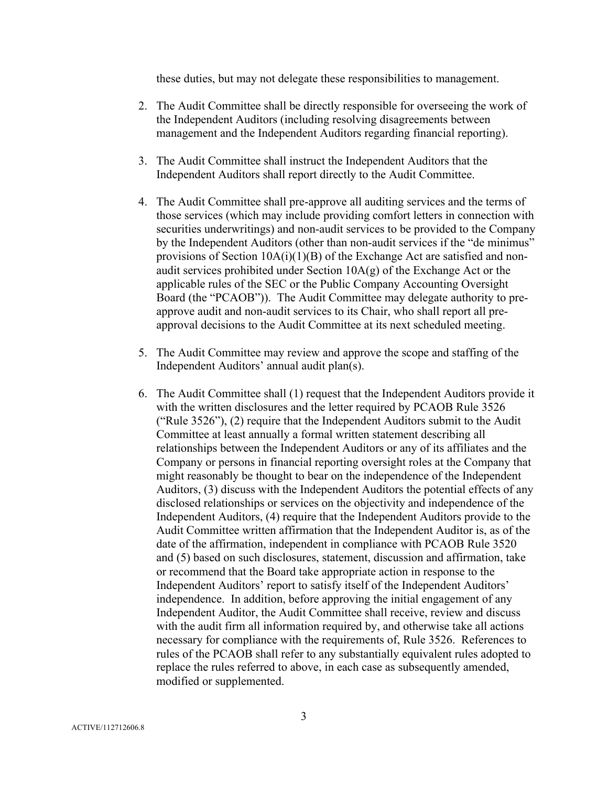these duties, but may not delegate these responsibilities to management.

- 2. The Audit Committee shall be directly responsible for overseeing the work of the Independent Auditors (including resolving disagreements between management and the Independent Auditors regarding financial reporting).
- 3. The Audit Committee shall instruct the Independent Auditors that the Independent Auditors shall report directly to the Audit Committee.
- 4. The Audit Committee shall pre-approve all auditing services and the terms of those services (which may include providing comfort letters in connection with securities underwritings) and non-audit services to be provided to the Company by the Independent Auditors (other than non-audit services if the "de minimus" provisions of Section  $10A(i)(1)(B)$  of the Exchange Act are satisfied and nonaudit services prohibited under Section  $10A(g)$  of the Exchange Act or the applicable rules of the SEC or the Public Company Accounting Oversight Board (the "PCAOB")). The Audit Committee may delegate authority to preapprove audit and non-audit services to its Chair, who shall report all preapproval decisions to the Audit Committee at its next scheduled meeting.
- 5. The Audit Committee may review and approve the scope and staffing of the Independent Auditors' annual audit plan(s).
- 6. The Audit Committee shall (1) request that the Independent Auditors provide it with the written disclosures and the letter required by PCAOB Rule 3526 ("Rule 3526"), (2) require that the Independent Auditors submit to the Audit Committee at least annually a formal written statement describing all relationships between the Independent Auditors or any of its affiliates and the Company or persons in financial reporting oversight roles at the Company that might reasonably be thought to bear on the independence of the Independent Auditors, (3) discuss with the Independent Auditors the potential effects of any disclosed relationships or services on the objectivity and independence of the Independent Auditors, (4) require that the Independent Auditors provide to the Audit Committee written affirmation that the Independent Auditor is, as of the date of the affirmation, independent in compliance with PCAOB Rule 3520 and (5) based on such disclosures, statement, discussion and affirmation, take or recommend that the Board take appropriate action in response to the Independent Auditors' report to satisfy itself of the Independent Auditors' independence. In addition, before approving the initial engagement of any Independent Auditor, the Audit Committee shall receive, review and discuss with the audit firm all information required by, and otherwise take all actions necessary for compliance with the requirements of, Rule 3526. References to rules of the PCAOB shall refer to any substantially equivalent rules adopted to replace the rules referred to above, in each case as subsequently amended, modified or supplemented.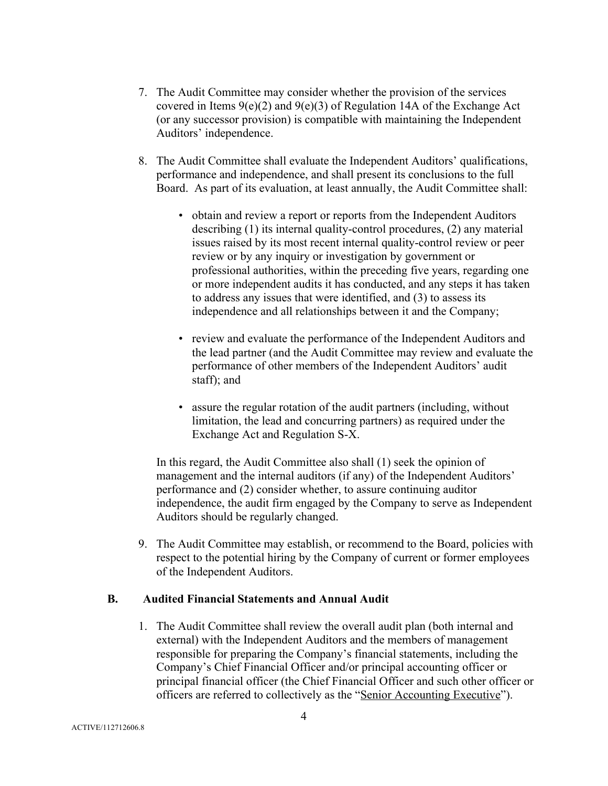- 7. The Audit Committee may consider whether the provision of the services covered in Items  $9(e)(2)$  and  $9(e)(3)$  of Regulation 14A of the Exchange Act (or any successor provision) is compatible with maintaining the Independent Auditors' independence.
- 8. The Audit Committee shall evaluate the Independent Auditors' qualifications, performance and independence, and shall present its conclusions to the full Board. As part of its evaluation, at least annually, the Audit Committee shall:
	- obtain and review a report or reports from the Independent Auditors describing (1) its internal quality-control procedures, (2) any material issues raised by its most recent internal quality-control review or peer review or by any inquiry or investigation by government or professional authorities, within the preceding five years, regarding one or more independent audits it has conducted, and any steps it has taken to address any issues that were identified, and (3) to assess its independence and all relationships between it and the Company;
	- review and evaluate the performance of the Independent Auditors and the lead partner (and the Audit Committee may review and evaluate the performance of other members of the Independent Auditors' audit staff); and
	- assure the regular rotation of the audit partners (including, without limitation, the lead and concurring partners) as required under the Exchange Act and Regulation S-X.

In this regard, the Audit Committee also shall (1) seek the opinion of management and the internal auditors (if any) of the Independent Auditors' performance and (2) consider whether, to assure continuing auditor independence, the audit firm engaged by the Company to serve as Independent Auditors should be regularly changed.

9. The Audit Committee may establish, or recommend to the Board, policies with respect to the potential hiring by the Company of current or former employees of the Independent Auditors.

#### **B. Audited Financial Statements and Annual Audit**

1. The Audit Committee shall review the overall audit plan (both internal and external) with the Independent Auditors and the members of management responsible for preparing the Company's financial statements, including the Company's Chief Financial Officer and/or principal accounting officer or principal financial officer (the Chief Financial Officer and such other officer or officers are referred to collectively as the "Senior Accounting Executive").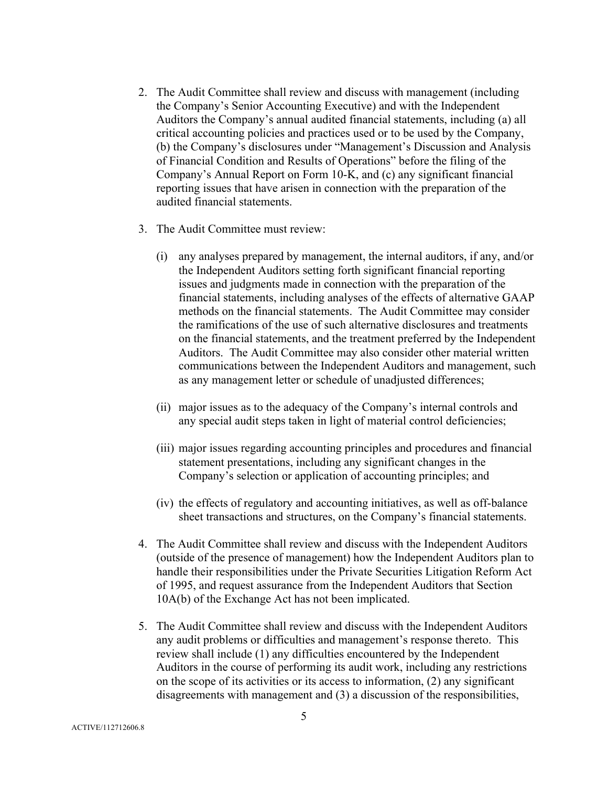- 2. The Audit Committee shall review and discuss with management (including the Company's Senior Accounting Executive) and with the Independent Auditors the Company's annual audited financial statements, including (a) all critical accounting policies and practices used or to be used by the Company, (b) the Company's disclosures under "Management's Discussion and Analysis of Financial Condition and Results of Operations" before the filing of the Company's Annual Report on Form 10-K, and (c) any significant financial reporting issues that have arisen in connection with the preparation of the audited financial statements.
- 3. The Audit Committee must review:
	- (i) any analyses prepared by management, the internal auditors, if any, and/or the Independent Auditors setting forth significant financial reporting issues and judgments made in connection with the preparation of the financial statements, including analyses of the effects of alternative GAAP methods on the financial statements. The Audit Committee may consider the ramifications of the use of such alternative disclosures and treatments on the financial statements, and the treatment preferred by the Independent Auditors. The Audit Committee may also consider other material written communications between the Independent Auditors and management, such as any management letter or schedule of unadjusted differences;
	- (ii) major issues as to the adequacy of the Company's internal controls and any special audit steps taken in light of material control deficiencies;
	- (iii) major issues regarding accounting principles and procedures and financial statement presentations, including any significant changes in the Company's selection or application of accounting principles; and
	- (iv) the effects of regulatory and accounting initiatives, as well as off-balance sheet transactions and structures, on the Company's financial statements.
- 4. The Audit Committee shall review and discuss with the Independent Auditors (outside of the presence of management) how the Independent Auditors plan to handle their responsibilities under the Private Securities Litigation Reform Act of 1995, and request assurance from the Independent Auditors that Section 10A(b) of the Exchange Act has not been implicated.
- 5. The Audit Committee shall review and discuss with the Independent Auditors any audit problems or difficulties and management's response thereto. This review shall include (1) any difficulties encountered by the Independent Auditors in the course of performing its audit work, including any restrictions on the scope of its activities or its access to information, (2) any significant disagreements with management and (3) a discussion of the responsibilities,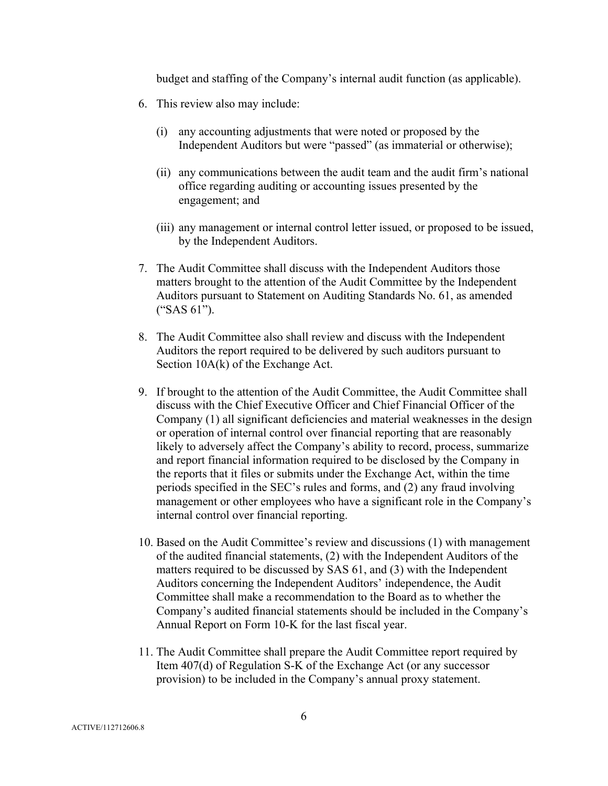budget and staffing of the Company's internal audit function (as applicable).

- 6. This review also may include:
	- (i) any accounting adjustments that were noted or proposed by the Independent Auditors but were "passed" (as immaterial or otherwise);
	- (ii) any communications between the audit team and the audit firm's national office regarding auditing or accounting issues presented by the engagement; and
	- (iii) any management or internal control letter issued, or proposed to be issued, by the Independent Auditors.
- 7. The Audit Committee shall discuss with the Independent Auditors those matters brought to the attention of the Audit Committee by the Independent Auditors pursuant to Statement on Auditing Standards No. 61, as amended ("SAS 61").
- 8. The Audit Committee also shall review and discuss with the Independent Auditors the report required to be delivered by such auditors pursuant to Section 10A(k) of the Exchange Act.
- 9. If brought to the attention of the Audit Committee, the Audit Committee shall discuss with the Chief Executive Officer and Chief Financial Officer of the Company (1) all significant deficiencies and material weaknesses in the design or operation of internal control over financial reporting that are reasonably likely to adversely affect the Company's ability to record, process, summarize and report financial information required to be disclosed by the Company in the reports that it files or submits under the Exchange Act, within the time periods specified in the SEC's rules and forms, and (2) any fraud involving management or other employees who have a significant role in the Company's internal control over financial reporting.
- 10. Based on the Audit Committee's review and discussions (1) with management of the audited financial statements, (2) with the Independent Auditors of the matters required to be discussed by SAS 61, and (3) with the Independent Auditors concerning the Independent Auditors' independence, the Audit Committee shall make a recommendation to the Board as to whether the Company's audited financial statements should be included in the Company's Annual Report on Form 10-K for the last fiscal year.
- 11. The Audit Committee shall prepare the Audit Committee report required by Item 407(d) of Regulation S-K of the Exchange Act (or any successor provision) to be included in the Company's annual proxy statement.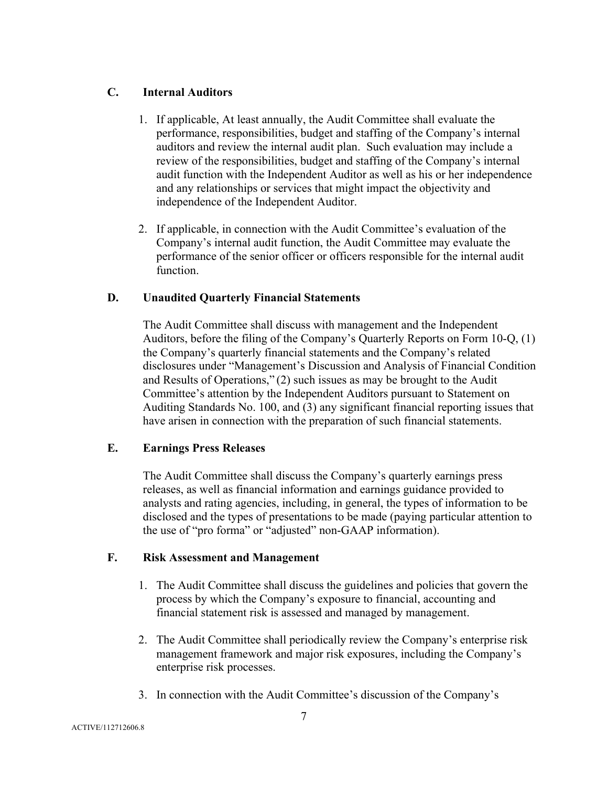# **C. Internal Auditors**

- 1. If applicable, At least annually, the Audit Committee shall evaluate the performance, responsibilities, budget and staffing of the Company's internal auditors and review the internal audit plan. Such evaluation may include a review of the responsibilities, budget and staffing of the Company's internal audit function with the Independent Auditor as well as his or her independence and any relationships or services that might impact the objectivity and independence of the Independent Auditor.
- 2. If applicable, in connection with the Audit Committee's evaluation of the Company's internal audit function, the Audit Committee may evaluate the performance of the senior officer or officers responsible for the internal audit function.

# **D. Unaudited Quarterly Financial Statements**

The Audit Committee shall discuss with management and the Independent Auditors, before the filing of the Company's Quarterly Reports on Form 10-Q, (1) the Company's quarterly financial statements and the Company's related disclosures under "Management's Discussion and Analysis of Financial Condition and Results of Operations," (2) such issues as may be brought to the Audit Committee's attention by the Independent Auditors pursuant to Statement on Auditing Standards No. 100, and (3) any significant financial reporting issues that have arisen in connection with the preparation of such financial statements.

## **E. Earnings Press Releases**

The Audit Committee shall discuss the Company's quarterly earnings press releases, as well as financial information and earnings guidance provided to analysts and rating agencies, including, in general, the types of information to be disclosed and the types of presentations to be made (paying particular attention to the use of "pro forma" or "adjusted" non-GAAP information).

## **F. Risk Assessment and Management**

- 1. The Audit Committee shall discuss the guidelines and policies that govern the process by which the Company's exposure to financial, accounting and financial statement risk is assessed and managed by management.
- 2. The Audit Committee shall periodically review the Company's enterprise risk management framework and major risk exposures, including the Company's enterprise risk processes.
- 3. In connection with the Audit Committee's discussion of the Company's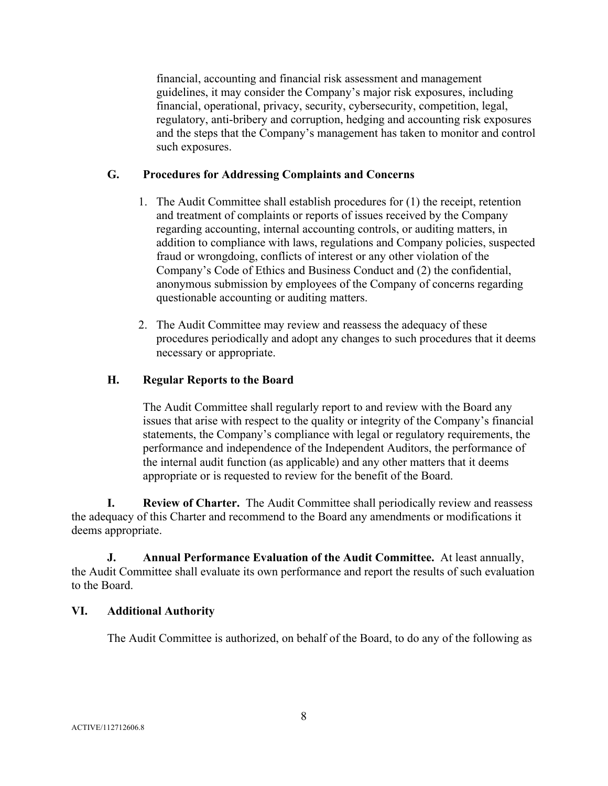financial, accounting and financial risk assessment and management guidelines, it may consider the Company's major risk exposures, including financial, operational, privacy, security, cybersecurity, competition, legal, regulatory, anti-bribery and corruption, hedging and accounting risk exposures and the steps that the Company's management has taken to monitor and control such exposures.

# **G. Procedures for Addressing Complaints and Concerns**

- 1. The Audit Committee shall establish procedures for (1) the receipt, retention and treatment of complaints or reports of issues received by the Company regarding accounting, internal accounting controls, or auditing matters, in addition to compliance with laws, regulations and Company policies, suspected fraud or wrongdoing, conflicts of interest or any other violation of the Company's Code of Ethics and Business Conduct and (2) the confidential, anonymous submission by employees of the Company of concerns regarding questionable accounting or auditing matters.
- 2. The Audit Committee may review and reassess the adequacy of these procedures periodically and adopt any changes to such procedures that it deems necessary or appropriate.

# **H. Regular Reports to the Board**

The Audit Committee shall regularly report to and review with the Board any issues that arise with respect to the quality or integrity of the Company's financial statements, the Company's compliance with legal or regulatory requirements, the performance and independence of the Independent Auditors, the performance of the internal audit function (as applicable) and any other matters that it deems appropriate or is requested to review for the benefit of the Board.

**I. Review of Charter.** The Audit Committee shall periodically review and reassess the adequacy of this Charter and recommend to the Board any amendments or modifications it deems appropriate.

**J. Annual Performance Evaluation of the Audit Committee.** At least annually, the Audit Committee shall evaluate its own performance and report the results of such evaluation to the Board.

## **VI. Additional Authority**

The Audit Committee is authorized, on behalf of the Board, to do any of the following as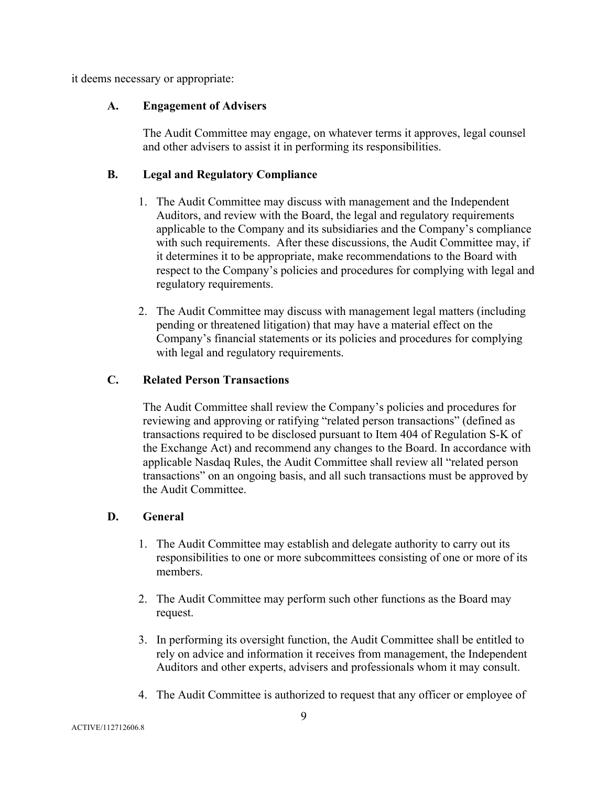it deems necessary or appropriate:

## **A. Engagement of Advisers**

The Audit Committee may engage, on whatever terms it approves, legal counsel and other advisers to assist it in performing its responsibilities.

## **B. Legal and Regulatory Compliance**

- 1. The Audit Committee may discuss with management and the Independent Auditors, and review with the Board, the legal and regulatory requirements applicable to the Company and its subsidiaries and the Company's compliance with such requirements. After these discussions, the Audit Committee may, if it determines it to be appropriate, make recommendations to the Board with respect to the Company's policies and procedures for complying with legal and regulatory requirements.
- 2. The Audit Committee may discuss with management legal matters (including pending or threatened litigation) that may have a material effect on the Company's financial statements or its policies and procedures for complying with legal and regulatory requirements.

# **C. Related Person Transactions**

The Audit Committee shall review the Company's policies and procedures for reviewing and approving or ratifying "related person transactions" (defined as transactions required to be disclosed pursuant to Item 404 of Regulation S-K of the Exchange Act) and recommend any changes to the Board. In accordance with applicable Nasdaq Rules, the Audit Committee shall review all "related person transactions" on an ongoing basis, and all such transactions must be approved by the Audit Committee.

## **D. General**

- 1. The Audit Committee may establish and delegate authority to carry out its responsibilities to one or more subcommittees consisting of one or more of its members.
- 2. The Audit Committee may perform such other functions as the Board may request.
- 3. In performing its oversight function, the Audit Committee shall be entitled to rely on advice and information it receives from management, the Independent Auditors and other experts, advisers and professionals whom it may consult.
- 4. The Audit Committee is authorized to request that any officer or employee of